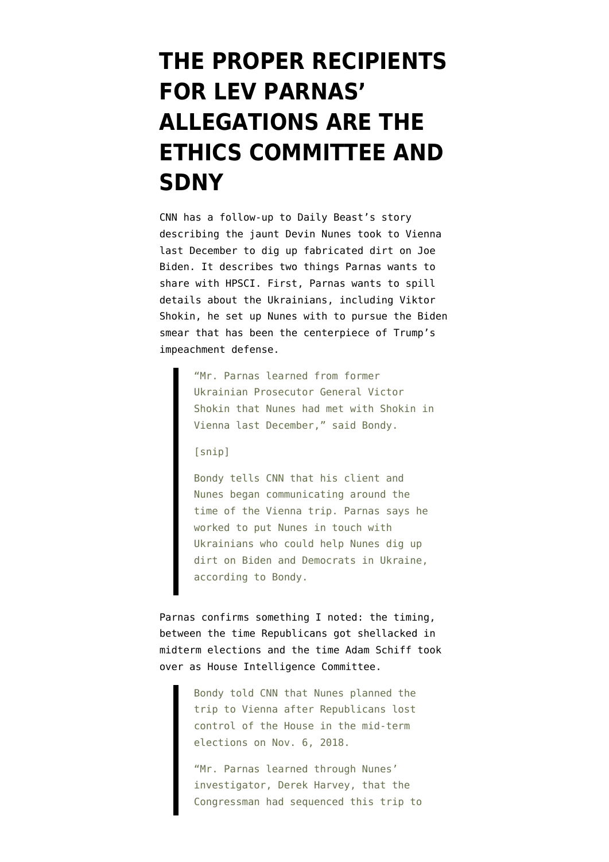## **[THE PROPER RECIPIENTS](https://www.emptywheel.net/2019/11/23/the-proper-recipients-for-lev-parnas-allegations-are-the-ethics-committee-and-sdny/) [FOR LEV PARNAS'](https://www.emptywheel.net/2019/11/23/the-proper-recipients-for-lev-parnas-allegations-are-the-ethics-committee-and-sdny/) [ALLEGATIONS ARE THE](https://www.emptywheel.net/2019/11/23/the-proper-recipients-for-lev-parnas-allegations-are-the-ethics-committee-and-sdny/) [ETHICS COMMITTEE AND](https://www.emptywheel.net/2019/11/23/the-proper-recipients-for-lev-parnas-allegations-are-the-ethics-committee-and-sdny/) [SDNY](https://www.emptywheel.net/2019/11/23/the-proper-recipients-for-lev-parnas-allegations-are-the-ethics-committee-and-sdny/)**

CNN has a [follow-up](https://www.cnn.com/2019/11/22/politics/nunes-vienna-trip-ukrainian-prosecutor-biden/index.html) to [Daily Beast's story](https://www.emptywheel.net/2019/11/21/devin-nunes-bills-taxpayers-63000-for-a-jaunt-to-europe-chasing-lev-parnas-disinformation/) describing the jaunt Devin Nunes took to Vienna last December to dig up fabricated dirt on Joe Biden. It describes two things Parnas wants to share with HPSCI. First, Parnas wants to spill details about the Ukrainians, including Viktor Shokin, he set up Nunes with to pursue the Biden smear that has been the centerpiece of Trump's impeachment defense.

> "Mr. Parnas learned from former Ukrainian Prosecutor General Victor Shokin that Nunes had met with Shokin in Vienna last December," said Bondy.

[snip]

Bondy tells CNN that his client and Nunes began communicating around the time of the Vienna trip. Parnas says he worked to put Nunes in touch with Ukrainians who could help Nunes dig up dirt on Biden and Democrats in Ukraine, according to Bondy.

Parnas confirms something I noted: the timing, between the time Republicans got shellacked in midterm elections and the time Adam Schiff took over as House Intelligence Committee.

> Bondy told CNN that Nunes planned the trip to Vienna after Republicans lost control of the House in the mid-term elections on Nov. 6, 2018.

"Mr. Parnas learned through Nunes' investigator, Derek Harvey, that the Congressman had sequenced this trip to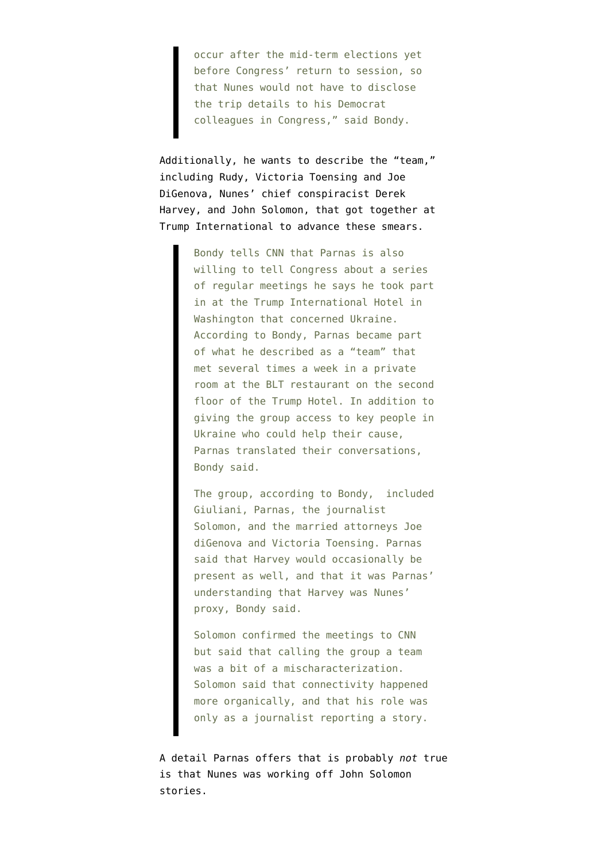occur after the mid-term elections yet before Congress' return to session, so that Nunes would not have to disclose the trip details to his Democrat colleagues in Congress," said Bondy.

Additionally, he wants to describe the "team," including Rudy, Victoria Toensing and Joe DiGenova, Nunes' chief conspiracist Derek Harvey, and John Solomon, that got together at Trump International to advance these smears.

> Bondy tells CNN that Parnas is also willing to tell Congress about a series of regular meetings he says he took part in at the Trump International Hotel in Washington that concerned Ukraine. According to Bondy, Parnas became part of what he described as a "team" that met several times a week in a private room at the BLT restaurant on the second floor of the Trump Hotel. In addition to giving the group access to key people in Ukraine who could help their cause, Parnas translated their conversations, Bondy said.

> The group, according to Bondy,  included Giuliani, Parnas, the journalist Solomon, and the married attorneys Joe diGenova and Victoria Toensing. Parnas said that Harvey would occasionally be present as well, and that it was Parnas' understanding that Harvey was Nunes' proxy, Bondy said.

Solomon confirmed the meetings to CNN but said that calling the group a team was a bit of a mischaracterization. Solomon said that connectivity happened more organically, and that his role was only as a journalist reporting a story.

A detail Parnas offers that is probably *not* true is that Nunes was working off John Solomon stories.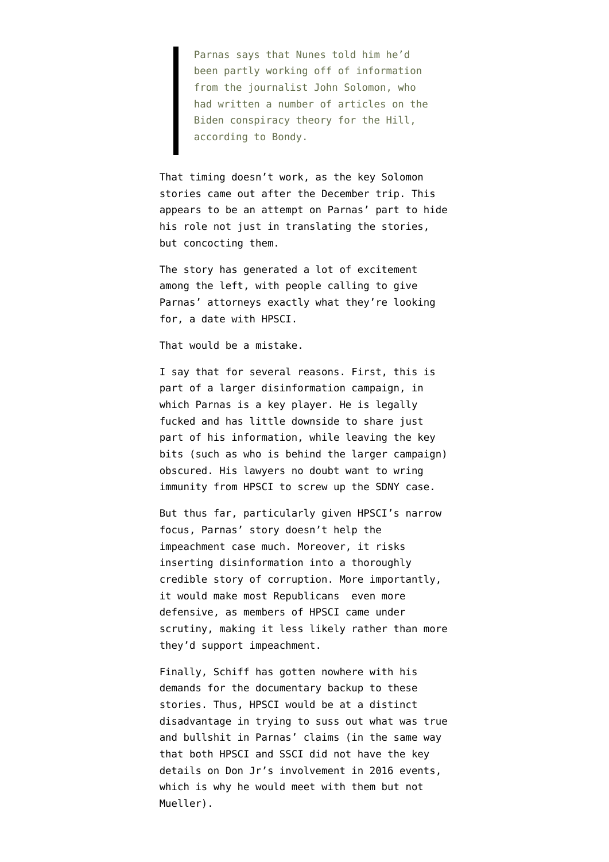Parnas says that Nunes told him he'd been partly working off of information from the journalist John Solomon, who had written a number of articles on the Biden conspiracy theory for the Hill, according to Bondy.

That timing doesn't work, as the key Solomon stories came out after the December trip. This appears to be an attempt on Parnas' part to hide his role not just in translating the stories, but concocting them.

The story has generated a lot of excitement among the left, with people calling to give Parnas' attorneys exactly what they're looking for, a date with HPSCI.

That would be a mistake.

I say that for several reasons. First, this is part of a larger disinformation campaign, in which Parnas is a key player. He is legally fucked and has little downside to share just part of his information, while leaving the key bits (such as who is behind the larger campaign) obscured. His lawyers no doubt want to wring immunity from HPSCI to screw up the SDNY case.

But thus far, particularly given HPSCI's narrow focus, Parnas' story doesn't help the impeachment case much. Moreover, it risks inserting disinformation into a thoroughly credible story of corruption. More importantly, it would make most Republicans even more defensive, as members of HPSCI came under scrutiny, making it less likely rather than more they'd support impeachment.

Finally, Schiff has gotten nowhere with his demands for the documentary backup to these stories. Thus, HPSCI would be at a distinct disadvantage in trying to suss out what was true and bullshit in Parnas' claims (in the same way that both HPSCI and SSCI did not have the key details on Don Jr's involvement in 2016 events, which is why he would meet with them but not Mueller).